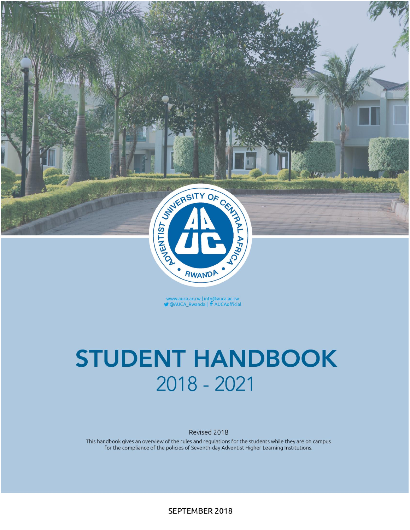

www.auca.ac.rw | info@auca.ac.rw<br>• @AUCA\_Rwanda | **f** AUCAofficial

# **STUDENT HANDBOOK** 2018 - 2021

Revised 2018

This handbook gives an overview of the rules and regulations for the students while they are on campus for the compliance of the policies of Seventh-day Adventist Higher Learning Institutions.

SEPTEMBER 2018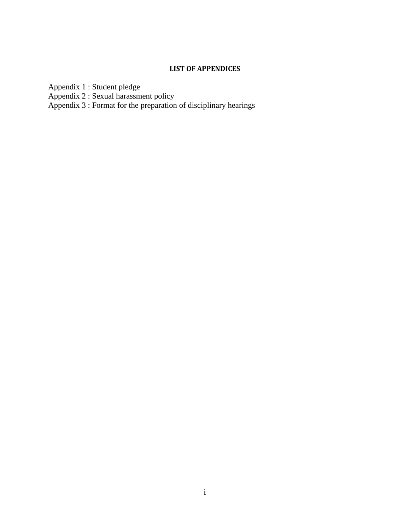# **LIST OF APPENDICES**

<span id="page-1-0"></span>Appendix 1 [: Student pledge](#page-32-0)

Appendix 2 [: Sexual harassment policy](#page-32-1)

Appendix 3 [: Format for the preparation of](#page-35-0) disciplinary hearings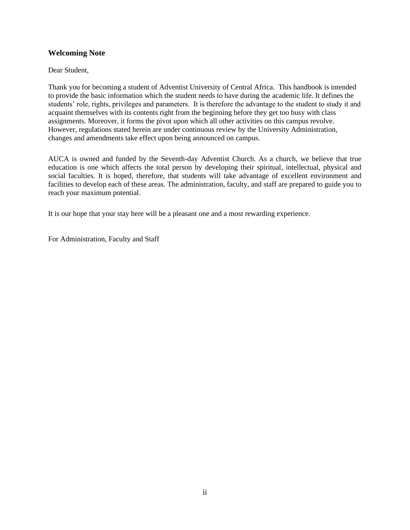# **Welcoming Note**

Dear Student,

Thank you for becoming a student of Adventist University of Central Africa. This handbook is intended to provide the basic information which the student needs to have during the academic life. It defines the students' role, rights, privileges and parameters. It is therefore the advantage to the student to study it and acquaint themselves with its contents right from the beginning before they get too busy with class assignments. Moreover, it forms the pivot upon which all other activities on this campus revolve. However, regulations stated herein are under continuous review by the University Administration, changes and amendments take effect upon being announced on campus.

AUCA is owned and funded by the Seventh-day Adventist Church. As a church, we believe that true education is one which affects the total person by developing their spiritual, intellectual, physical and social faculties. It is hoped, therefore, that students will take advantage of excellent environment and facilities to develop each of these areas. The administration, faculty, and staff are prepared to guide you to reach your maximum potential.

It is our hope that your stay here will be a pleasant one and a most rewarding experience.

For Administration, Faculty and Staff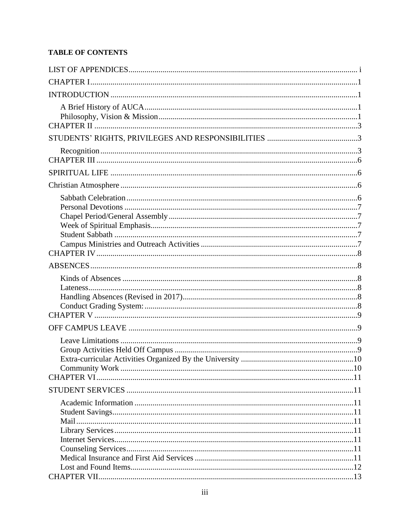# **TABLE OF CONTENTS**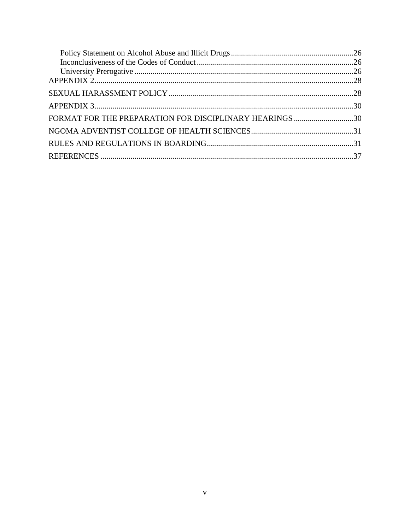| FORMAT FOR THE PREPARATION FOR DISCIPLINARY HEARINGS30 |  |
|--------------------------------------------------------|--|
|                                                        |  |
|                                                        |  |
|                                                        |  |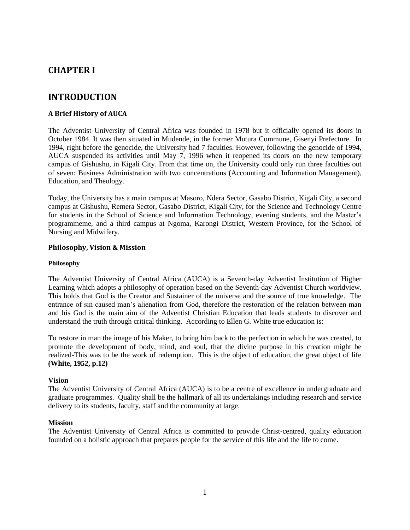# <span id="page-6-1"></span><span id="page-6-0"></span>**CHAPTER I**

# **INTRODUCTION**

# <span id="page-6-2"></span>**A Brief History of AUCA**

The Adventist University of Central Africa was founded in 1978 but it officially opened its doors in October 1984. It was then situated in Mudende, in the former Mutura Commune, Gisenyi Prefecture. In 1994, right before the genocide, the University had 7 faculties. However, following the genocide of 1994, AUCA suspended its activities until May 7, 1996 when it reopened its doors on the new temporary campus of Gishushu, in Kigali City. From that time on, the University could only run three faculties out of seven: Business Administration with two concentrations (Accounting and Information Management), Education, and Theology.

Today, the University has a main campus at Masoro, Ndera Sector, Gasabo District, Kigali City, a second campus at Gishushu, Remera Sector, Gasabo District, Kigali City, for the Science and Technology Centre for students in the School of Science and Information Technology, evening students, and the Master's programmeme, and a third campus at Ngoma, Karongi District, Western Province, for the School of Nursing and Midwifery.

#### <span id="page-6-3"></span>**Philosophy, Vision & Mission**

#### **Philosophy**

The Adventist University of Central Africa (AUCA) is a Seventh-day Adventist Institution of Higher Learning which adopts a philosophy of operation based on the Seventh-day Adventist Church worldview. This holds that God is the Creator and Sustainer of the universe and the source of true knowledge. The entrance of sin caused man's alienation from God, therefore the restoration of the relation between man and his God is the main aim of the Adventist Christian Education that leads students to discover and understand the truth through critical thinking. According to Ellen G. White true education is:

To restore in man the image of his Maker, to bring him back to the perfection in which he was created, to promote the development of body, mind, and soul, that the divine purpose in his creation might be realized-This was to be the work of redemption. This is the object of education, the great object of life **(White, 1952, p.12)**

#### **Vision**

The Adventist University of Central Africa (AUCA) is to be a centre of excellence in undergraduate and graduate programmes. Quality shall be the hallmark of all its undertakings including research and service delivery to its students, faculty, staff and the community at large.

#### **Mission**

The Adventist University of Central Africa is committed to provide Christ-centred, quality education founded on a holistic approach that prepares people for the service of this life and the life to come.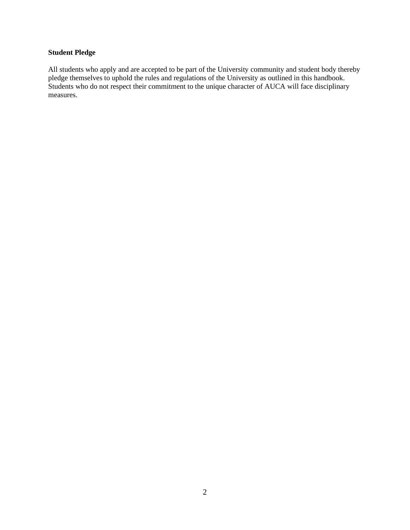# **Student Pledge**

All students who apply and are accepted to be part of the University community and student body thereby pledge themselves to uphold the rules and regulations of the University as outlined in this handbook. Students who do not respect their commitment to the unique character of AUCA will face disciplinary measures.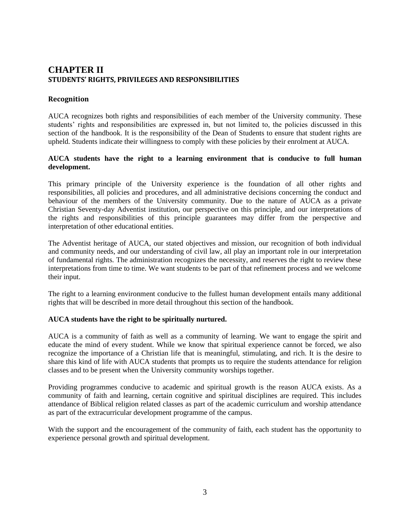# <span id="page-8-1"></span><span id="page-8-0"></span>**CHAPTER II STUDENTS' RIGHTS, PRIVILEGES AND RESPONSIBILITIES**

# <span id="page-8-2"></span>**Recognition**

AUCA recognizes both rights and responsibilities of each member of the University community. These students' rights and responsibilities are expressed in, but not limited to, the policies discussed in this section of the handbook. It is the responsibility of the Dean of Students to ensure that student rights are upheld. Students indicate their willingness to comply with these policies by their enrolment at AUCA.

#### **AUCA students have the right to a learning environment that is conducive to full human development.**

This primary principle of the University experience is the foundation of all other rights and responsibilities, all policies and procedures, and all administrative decisions concerning the conduct and behaviour of the members of the University community. Due to the nature of AUCA as a private Christian Seventy-day Adventist institution, our perspective on this principle, and our interpretations of the rights and responsibilities of this principle guarantees may differ from the perspective and interpretation of other educational entities.

The Adventist heritage of AUCA, our stated objectives and mission, our recognition of both individual and community needs, and our understanding of civil law, all play an important role in our interpretation of fundamental rights. The administration recognizes the necessity, and reserves the right to review these interpretations from time to time. We want students to be part of that refinement process and we welcome their input.

The right to a learning environment conducive to the fullest human development entails many additional rights that will be described in more detail throughout this section of the handbook.

#### **AUCA students have the right to be spiritually nurtured.**

AUCA is a community of faith as well as a community of learning. We want to engage the spirit and educate the mind of every student. While we know that spiritual experience cannot be forced, we also recognize the importance of a Christian life that is meaningful, stimulating, and rich. It is the desire to share this kind of life with AUCA students that prompts us to require the students attendance for religion classes and to be present when the University community worships together.

Providing programmes conducive to academic and spiritual growth is the reason AUCA exists. As a community of faith and learning, certain cognitive and spiritual disciplines are required. This includes attendance of Biblical religion related classes as part of the academic curriculum and worship attendance as part of the extracurricular development programme of the campus.

With the support and the encouragement of the community of faith, each student has the opportunity to experience personal growth and spiritual development.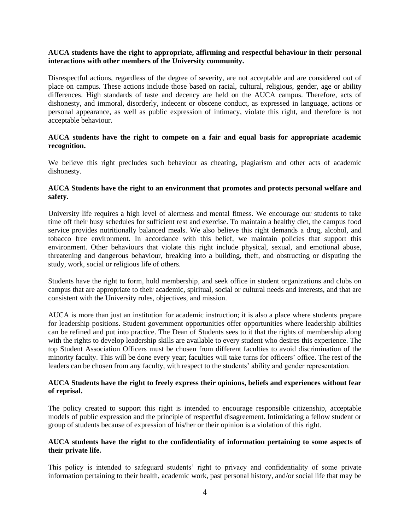#### **AUCA students have the right to appropriate, affirming and respectful behaviour in their personal interactions with other members of the University community.**

Disrespectful actions, regardless of the degree of severity, are not acceptable and are considered out of place on campus. These actions include those based on racial, cultural, religious, gender, age or ability differences. High standards of taste and decency are held on the AUCA campus. Therefore, acts of dishonesty, and immoral, disorderly, indecent or obscene conduct, as expressed in language, actions or personal appearance, as well as public expression of intimacy, violate this right, and therefore is not acceptable behaviour.

#### **AUCA students have the right to compete on a fair and equal basis for appropriate academic recognition.**

We believe this right precludes such behaviour as cheating, plagiarism and other acts of academic dishonesty.

#### **AUCA Students have the right to an environment that promotes and protects personal welfare and safety.**

University life requires a high level of alertness and mental fitness. We encourage our students to take time off their busy schedules for sufficient rest and exercise. To maintain a healthy diet, the campus food service provides nutritionally balanced meals. We also believe this right demands a drug, alcohol, and tobacco free environment. In accordance with this belief, we maintain policies that support this environment. Other behaviours that violate this right include physical, sexual, and emotional abuse, threatening and dangerous behaviour, breaking into a building, theft, and obstructing or disputing the study, work, social or religious life of others.

Students have the right to form, hold membership, and seek office in student organizations and clubs on campus that are appropriate to their academic, spiritual, social or cultural needs and interests, and that are consistent with the University rules, objectives, and mission.

AUCA is more than just an institution for academic instruction; it is also a place where students prepare for leadership positions. Student government opportunities offer opportunities where leadership abilities can be refined and put into practice. The Dean of Students sees to it that the rights of membership along with the rights to develop leadership skills are available to every student who desires this experience. The top Student Association Officers must be chosen from different faculties to avoid discrimination of the minority faculty. This will be done every year; faculties will take turns for officers' office. The rest of the leaders can be chosen from any faculty, with respect to the students' ability and gender representation.

#### **AUCA Students have the right to freely express their opinions, beliefs and experiences without fear of reprisal.**

The policy created to support this right is intended to encourage responsible citizenship, acceptable models of public expression and the principle of respectful disagreement. Intimidating a fellow student or group of students because of expression of his/her or their opinion is a violation of this right.

#### **AUCA students have the right to the confidentiality of information pertaining to some aspects of their private life.**

This policy is intended to safeguard students' right to privacy and confidentiality of some private information pertaining to their health, academic work, past personal history, and/or social life that may be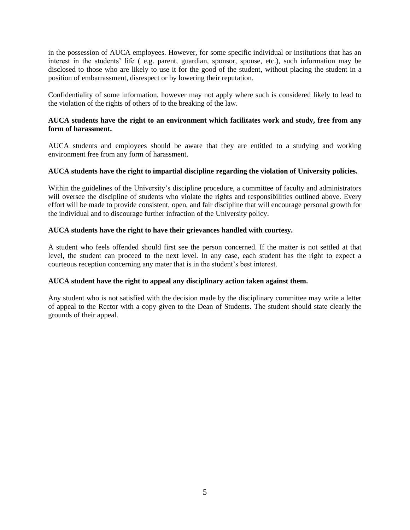in the possession of AUCA employees. However, for some specific individual or institutions that has an interest in the students' life ( e.g. parent, guardian, sponsor, spouse, etc.), such information may be disclosed to those who are likely to use it for the good of the student, without placing the student in a position of embarrassment, disrespect or by lowering their reputation.

Confidentiality of some information, however may not apply where such is considered likely to lead to the violation of the rights of others of to the breaking of the law.

#### **AUCA students have the right to an environment which facilitates work and study, free from any form of harassment.**

AUCA students and employees should be aware that they are entitled to a studying and working environment free from any form of harassment.

#### **AUCA students have the right to impartial discipline regarding the violation of University policies.**

Within the guidelines of the University's discipline procedure, a committee of faculty and administrators will oversee the discipline of students who violate the rights and responsibilities outlined above. Every effort will be made to provide consistent, open, and fair discipline that will encourage personal growth for the individual and to discourage further infraction of the University policy.

#### **AUCA students have the right to have their grievances handled with courtesy.**

A student who feels offended should first see the person concerned. If the matter is not settled at that level, the student can proceed to the next level. In any case, each student has the right to expect a courteous reception concerning any mater that is in the student's best interest.

#### **AUCA student have the right to appeal any disciplinary action taken against them.**

Any student who is not satisfied with the decision made by the disciplinary committee may write a letter of appeal to the Rector with a copy given to the Dean of Students. The student should state clearly the grounds of their appeal.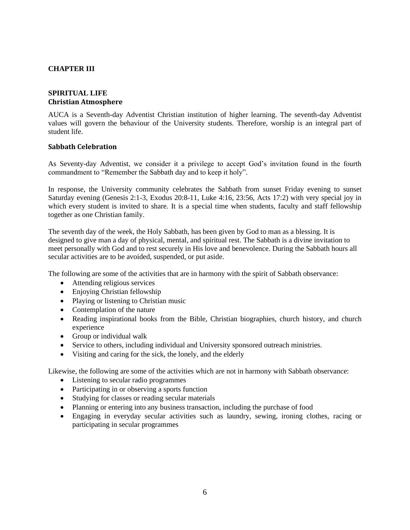# <span id="page-11-1"></span><span id="page-11-0"></span>**CHAPTER III**

# <span id="page-11-2"></span>**SPIRITUAL LIFE Christian Atmosphere**

AUCA is a Seventh-day Adventist Christian institution of higher learning. The seventh-day Adventist values will govern the behaviour of the University students. Therefore, worship is an integral part of student life.

#### <span id="page-11-3"></span>**Sabbath Celebration**

As Seventy-day Adventist, we consider it a privilege to accept God's invitation found in the fourth commandment to "Remember the Sabbath day and to keep it holy".

In response, the University community celebrates the Sabbath from sunset Friday evening to sunset Saturday evening (Genesis 2:1-3, Exodus 20:8-11, Luke 4:16, 23:56, Acts 17:2) with very special joy in which every student is invited to share. It is a special time when students, faculty and staff fellowship together as one Christian family.

The seventh day of the week, the Holy Sabbath, has been given by God to man as a blessing. It is designed to give man a day of physical, mental, and spiritual rest. The Sabbath is a divine invitation to meet personally with God and to rest securely in His love and benevolence. During the Sabbath hours all secular activities are to be avoided, suspended, or put aside.

The following are some of the activities that are in harmony with the spirit of Sabbath observance:

- Attending religious services
- Enjoying Christian fellowship
- Playing or listening to Christian music
- Contemplation of the nature
- Reading inspirational books from the Bible, Christian biographies, church history, and church experience
- Group or individual walk
- Service to others, including individual and University sponsored outreach ministries.
- Visiting and caring for the sick, the lonely, and the elderly

Likewise, the following are some of the activities which are not in harmony with Sabbath observance:

- Listening to secular radio programmes
- Participating in or observing a sports function
- Studying for classes or reading secular materials
- Planning or entering into any business transaction, including the purchase of food
- <span id="page-11-4"></span>• Engaging in everyday secular activities such as laundry, sewing, ironing clothes, racing or participating in secular programmes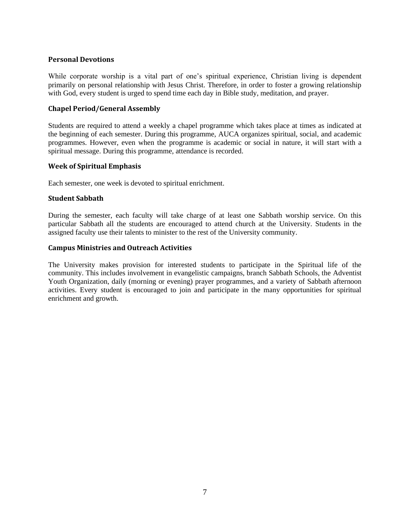# **Personal Devotions**

While corporate worship is a vital part of one's spiritual experience, Christian living is dependent primarily on personal relationship with Jesus Christ. Therefore, in order to foster a growing relationship with God, every student is urged to spend time each day in Bible study, meditation, and prayer.

# <span id="page-12-0"></span>**Chapel Period/General Assembly**

Students are required to attend a weekly a chapel programme which takes place at times as indicated at the beginning of each semester. During this programme, AUCA organizes spiritual, social, and academic programmes. However, even when the programme is academic or social in nature, it will start with a spiritual message. During this programme, attendance is recorded.

#### <span id="page-12-1"></span>**Week of Spiritual Emphasis**

<span id="page-12-2"></span>Each semester, one week is devoted to spiritual enrichment.

#### **Student Sabbath**

During the semester, each faculty will take charge of at least one Sabbath worship service. On this particular Sabbath all the students are encouraged to attend church at the University. Students in the assigned faculty use their talents to minister to the rest of the University community.

#### <span id="page-12-3"></span>**Campus Ministries and Outreach Activities**

The University makes provision for interested students to participate in the Spiritual life of the community. This includes involvement in evangelistic campaigns, branch Sabbath Schools, the Adventist Youth Organization, daily (morning or evening) prayer programmes, and a variety of Sabbath afternoon activities. Every student is encouraged to join and participate in the many opportunities for spiritual enrichment and growth.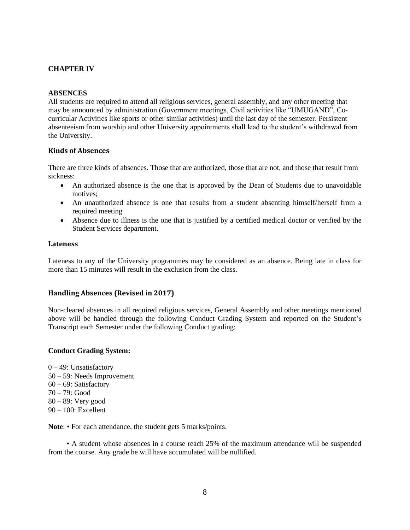# <span id="page-13-1"></span><span id="page-13-0"></span>**CHAPTER IV**

#### **ABSENCES**

All students are required to attend all religious services, general assembly, and any other meeting that may be announced by administration (Government meetings, Civil activities like "UMUGAND", Cocurricular Activities like sports or other similar activities) until the last day of the semester. Persistent absenteeism from worship and other University appointments shall lead to the student's withdrawal from the University.

#### <span id="page-13-2"></span>**Kinds of Absences**

There are three kinds of absences. Those that are authorized, those that are not, and those that result from sickness:

- An authorized absence is the one that is approved by the Dean of Students due to unavoidable motives;
- An unauthorized absence is one that results from a student absenting himself/herself from a required meeting
- Absence due to illness is the one that is justified by a certified medical doctor or verified by the Student Services department.

#### <span id="page-13-3"></span>**Lateness**

Lateness to any of the University programmes may be considered as an absence. Being late in class for more than 15 minutes will result in the exclusion from the class.

#### <span id="page-13-4"></span>**Handling Absences (Revised in 2017)**

Non-cleared absences in all required religious services, General Assembly and other meetings mentioned above will be handled through the following Conduct Grading System and reported on the Student's Transcript each Semester under the following Conduct grading:

#### <span id="page-13-5"></span>**Conduct Grading System:**

 $0 - 49$ : Unsatisfactory 50 – 59: Needs Improvement 60 – 69: Satisfactory 70 – 79: Good 80 – 89: Very good 90 – 100: Excellent

Note: • For each attendance, the student gets 5 marks/points.

 • A student whose absences in a course reach 25% of the maximum attendance will be suspended from the course. Any grade he will have accumulated will be nullified.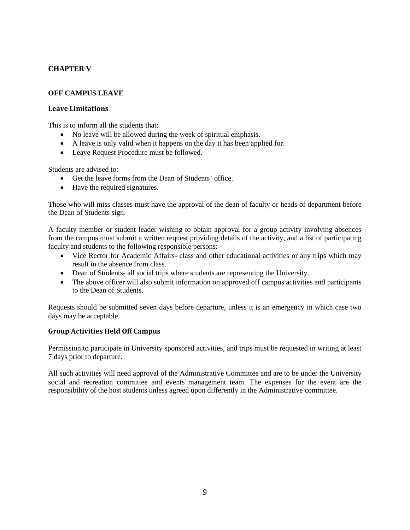# <span id="page-14-1"></span><span id="page-14-0"></span>**CHAPTER V**

# **OFF CAMPUS LEAVE**

# <span id="page-14-2"></span>**Leave Limitations**

This is to inform all the students that:

- No leave will be allowed during the week of spiritual emphasis.
- A leave is only valid when it happens on the day it has been applied for.
- Leave Request Procedure must be followed.

Students are advised to:

- Get the leave forms from the Dean of Students' office.
- Have the required signatures.

Those who will miss classes must have the approval of the dean of faculty or heads of department before the Dean of Students sign.

A faculty member or student leader wishing to obtain approval for a group activity involving absences from the campus must submit a written request providing details of the activity, and a list of participating faculty and students to the following responsible persons:

- Vice Rector for Academic Affairs- class and other educational activities or any trips which may result in the absence from class.
- Dean of Students- all social trips where students are representing the University.
- The above officer will also submit information on approved off campus activities and participants to the Dean of Students.

Requests should be submitted seven days before departure, unless it is an emergency in which case two days may be acceptable.

#### <span id="page-14-3"></span>**Group Activities Held Off Campus**

Permission to participate in University sponsored activities, and trips must be requested in writing at least 7 days prior to departure.

All such activities will need approval of the Administrative Committee and are to be under the University social and recreation committee and events management team. The expenses for the event are the responsibility of the host students unless agreed upon differently in the Administrative committee.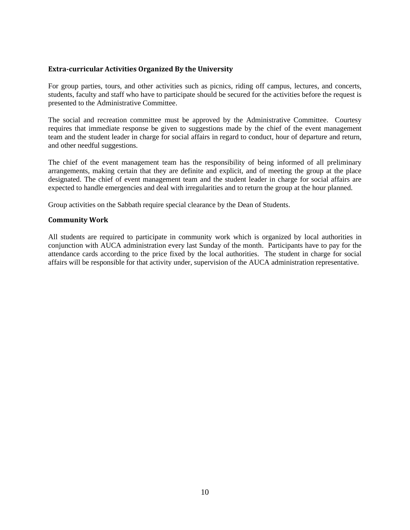#### <span id="page-15-0"></span>**Extra-curricular Activities Organized By the University**

For group parties, tours, and other activities such as picnics, riding off campus, lectures, and concerts, students, faculty and staff who have to participate should be secured for the activities before the request is presented to the Administrative Committee.

The social and recreation committee must be approved by the Administrative Committee. Courtesy requires that immediate response be given to suggestions made by the chief of the event management team and the student leader in charge for social affairs in regard to conduct, hour of departure and return, and other needful suggestions.

The chief of the event management team has the responsibility of being informed of all preliminary arrangements, making certain that they are definite and explicit, and of meeting the group at the place designated. The chief of event management team and the student leader in charge for social affairs are expected to handle emergencies and deal with irregularities and to return the group at the hour planned.

Group activities on the Sabbath require special clearance by the Dean of Students.

#### <span id="page-15-1"></span>**Community Work**

All students are required to participate in community work which is organized by local authorities in conjunction with AUCA administration every last Sunday of the month. Participants have to pay for the attendance cards according to the price fixed by the local authorities. The student in charge for social affairs will be responsible for that activity under, supervision of the AUCA administration representative.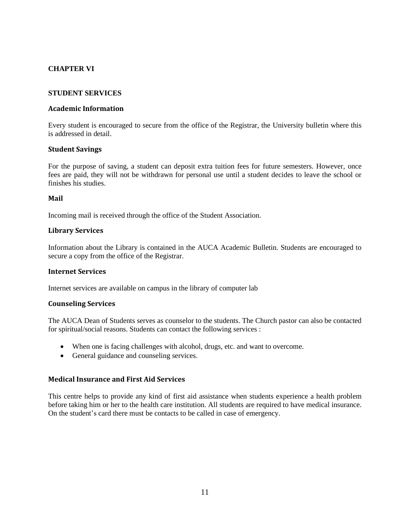# <span id="page-16-1"></span><span id="page-16-0"></span>**CHAPTER VI**

#### **STUDENT SERVICES**

#### <span id="page-16-2"></span>**Academic Information**

Every student is encouraged to secure from the office of the Registrar, the University bulletin where this is addressed in detail.

#### <span id="page-16-3"></span>**Student Savings**

For the purpose of saving, a student can deposit extra tuition fees for future semesters. However, once fees are paid, they will not be withdrawn for personal use until a student decides to leave the school or finishes his studies.

#### <span id="page-16-4"></span>**Mail**

<span id="page-16-5"></span>Incoming mail is received through the office of the Student Association.

#### **Library Services**

Information about the Library is contained in the AUCA Academic Bulletin. Students are encouraged to secure a copy from the office of the Registrar.

#### <span id="page-16-6"></span>**Internet Services**

<span id="page-16-7"></span>Internet services are available on campus in the library of computer lab

#### **Counseling Services**

The AUCA Dean of Students serves as counselor to the students. The Church pastor can also be contacted for spiritual/social reasons. Students can contact the following services :

- When one is facing challenges with alcohol, drugs, etc. and want to overcome.
- General guidance and counseling services.

#### <span id="page-16-8"></span>**Medical Insurance and First Aid Services**

This centre helps to provide any kind of first aid assistance when students experience a health problem before taking him or her to the health care institution. All students are required to have medical insurance. On the student's card there must be contacts to be called in case of emergency.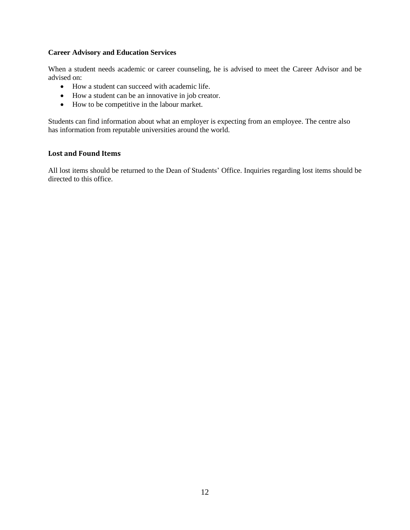#### **Career Advisory and Education Services**

When a student needs academic or career counseling, he is advised to meet the Career Advisor and be advised on:

- How a student can succeed with academic life.
- How a student can be an innovative in job creator.
- How to be competitive in the labour market.

Students can find information about what an employer is expecting from an employee. The centre also has information from reputable universities around the world.

#### <span id="page-17-0"></span>**Lost and Found Items**

All lost items should be returned to the Dean of Students' Office. Inquiries regarding lost items should be directed to this office.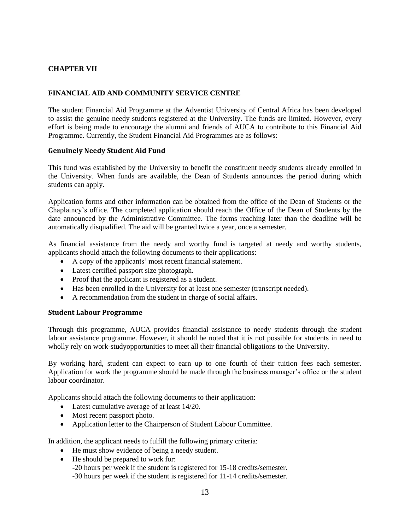# <span id="page-18-1"></span><span id="page-18-0"></span>**CHAPTER VII**

#### **FINANCIAL AID AND COMMUNITY SERVICE CENTRE**

The student Financial Aid Programme at the Adventist University of Central Africa has been developed to assist the genuine needy students registered at the University. The funds are limited. However, every effort is being made to encourage the alumni and friends of AUCA to contribute to this Financial Aid Programme. Currently, the Student Financial Aid Programmes are as follows:

#### <span id="page-18-2"></span>**Genuinely Needy Student Aid Fund**

This fund was established by the University to benefit the constituent needy students already enrolled in the University. When funds are available, the Dean of Students announces the period during which students can apply.

Application forms and other information can be obtained from the office of the Dean of Students or the Chaplaincy's office. The completed application should reach the Office of the Dean of Students by the date announced by the Administrative Committee. The forms reaching later than the deadline will be automatically disqualified. The aid will be granted twice a year, once a semester.

As financial assistance from the needy and worthy fund is targeted at needy and worthy students, applicants should attach the following documents to their applications:

- A copy of the applicants' most recent financial statement.
- Latest certified passport size photograph.
- Proof that the applicant is registered as a student.
- Has been enrolled in the University for at least one semester (transcript needed).
- A recommendation from the student in charge of social affairs.

#### <span id="page-18-3"></span>**Student Labour Programme**

Through this programme, AUCA provides financial assistance to needy students through the student labour assistance programme. However, it should be noted that it is not possible for students in need to wholly rely on work-studyopportunities to meet all their financial obligations to the University.

By working hard, student can expect to earn up to one fourth of their tuition fees each semester. Application for work the programme should be made through the business manager's office or the student labour coordinator.

Applicants should attach the following documents to their application:

- Latest cumulative average of at least 14/20.
- Most recent passport photo.
- Application letter to the Chairperson of Student Labour Committee.

In addition, the applicant needs to fulfill the following primary criteria:

- He must show evidence of being a needy student.
- He should be prepared to work for:
	- -20 hours per week if the student is registered for 15-18 credits/semester.
	- -30 hours per week if the student is registered for 11-14 credits/semester.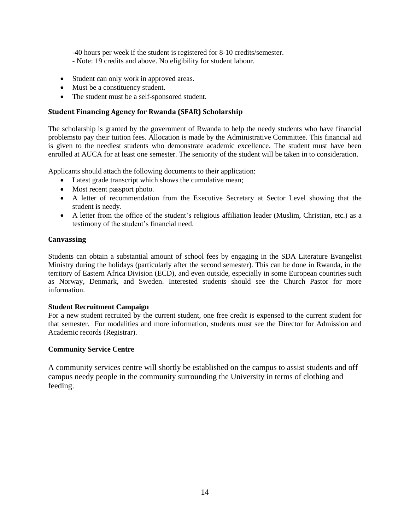-40 hours per week if the student is registered for 8-10 credits/semester. - Note: 19 credits and above. No eligibility for student labour.

- Student can only work in approved areas.
- Must be a constituency student.
- The student must be a self-sponsored student.

# <span id="page-19-0"></span>**Student Financing Agency for Rwanda (SFAR) Scholarship**

The scholarship is granted by the government of Rwanda to help the needy students who have financial problemsto pay their tuition fees. Allocation is made by the Administrative Committee. This financial aid is given to the neediest students who demonstrate academic excellence. The student must have been enrolled at AUCA for at least one semester. The seniority of the student will be taken in to consideration.

Applicants should attach the following documents to their application:

- Latest grade transcript which shows the cumulative mean;
- Most recent passport photo.
- A letter of recommendation from the Executive Secretary at Sector Level showing that the student is needy.
- A letter from the office of the student's religious affiliation leader (Muslim, Christian, etc.) as a testimony of the student's financial need.

# <span id="page-19-1"></span>**Canvassing**

Students can obtain a substantial amount of school fees by engaging in the SDA Literature Evangelist Ministry during the holidays (particularly after the second semester). This can be done in Rwanda, in the territory of Eastern Africa Division (ECD), and even outside, especially in some European countries such as Norway, Denmark, and Sweden. Interested students should see the Church Pastor for more information.

#### **Student Recruitment Campaign**

For a new student recruited by the current student, one free credit is expensed to the current student for that semester. For modalities and more information, students must see the Director for Admission and Academic records (Registrar).

#### **Community Service Centre**

A community services centre will shortly be established on the campus to assist students and off campus needy people in the community surrounding the University in terms of clothing and feeding.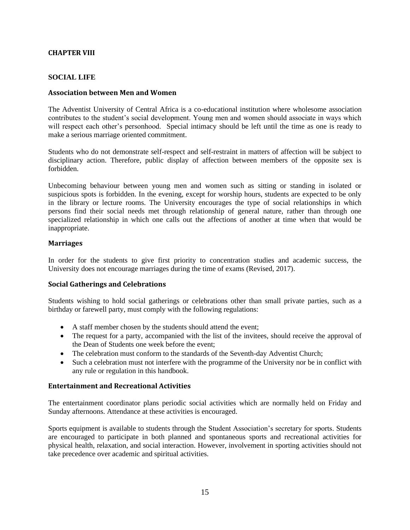# <span id="page-20-0"></span>**CHAPTER VIII**

# **SOCIAL LIFE**

#### <span id="page-20-1"></span>**Association between Men and Women**

The Adventist University of Central Africa is a co-educational institution where wholesome association contributes to the student's social development. Young men and women should associate in ways which will respect each other's personhood. Special intimacy should be left until the time as one is ready to make a serious marriage oriented commitment.

Students who do not demonstrate self-respect and self-restraint in matters of affection will be subject to disciplinary action. Therefore, public display of affection between members of the opposite sex is forbidden.

Unbecoming behaviour between young men and women such as sitting or standing in isolated or suspicious spots is forbidden. In the evening, except for worship hours, students are expected to be only in the library or lecture rooms. The University encourages the type of social relationships in which persons find their social needs met through relationship of general nature, rather than through one specialized relationship in which one calls out the affections of another at time when that would be inappropriate.

#### <span id="page-20-2"></span>**Marriages**

In order for the students to give first priority to concentration studies and academic success, the University does not encourage marriages during the time of exams (Revised, 2017).

#### <span id="page-20-3"></span>**Social Gatherings and Celebrations**

Students wishing to hold social gatherings or celebrations other than small private parties, such as a birthday or farewell party, must comply with the following regulations:

- A staff member chosen by the students should attend the event;
- The request for a party, accompanied with the list of the invitees, should receive the approval of the Dean of Students one week before the event;
- The celebration must conform to the standards of the Seventh-day Adventist Church;
- Such a celebration must not interfere with the programme of the University nor be in conflict with any rule or regulation in this handbook.

#### <span id="page-20-4"></span>**Entertainment and Recreational Activities**

The entertainment coordinator plans periodic social activities which are normally held on Friday and Sunday afternoons. Attendance at these activities is encouraged.

Sports equipment is available to students through the Student Association's secretary for sports. Students are encouraged to participate in both planned and spontaneous sports and recreational activities for physical health, relaxation, and social interaction. However, involvement in sporting activities should not take precedence over academic and spiritual activities.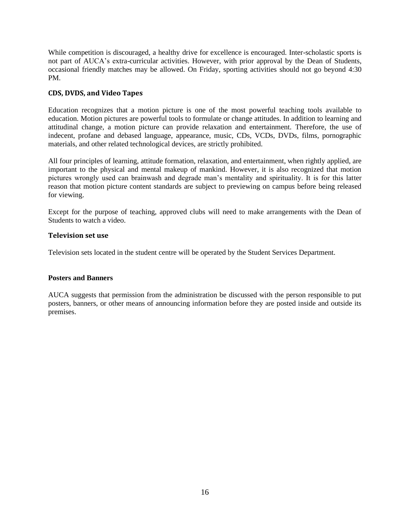While competition is discouraged, a healthy drive for excellence is encouraged. Inter-scholastic sports is not part of AUCA's extra-curricular activities. However, with prior approval by the Dean of Students, occasional friendly matches may be allowed. On Friday, sporting activities should not go beyond 4:30 PM.

#### <span id="page-21-0"></span>**CDS, DVDS, and Video Tapes**

Education recognizes that a motion picture is one of the most powerful teaching tools available to education. Motion pictures are powerful tools to formulate or change attitudes. In addition to learning and attitudinal change, a motion picture can provide relaxation and entertainment. Therefore, the use of indecent, profane and debased language, appearance, music, CDs, VCDs, DVDs, films, pornographic materials, and other related technological devices, are strictly prohibited.

All four principles of learning, attitude formation, relaxation, and entertainment, when rightly applied, are important to the physical and mental makeup of mankind. However, it is also recognized that motion pictures wrongly used can brainwash and degrade man's mentality and spirituality. It is for this latter reason that motion picture content standards are subject to previewing on campus before being released for viewing.

Except for the purpose of teaching, approved clubs will need to make arrangements with the Dean of Students to watch a video.

#### <span id="page-21-1"></span>**Television set use**

Television sets located in the student centre will be operated by the Student Services Department.

#### **Posters and Banners**

AUCA suggests that permission from the administration be discussed with the person responsible to put posters, banners, or other means of announcing information before they are posted inside and outside its premises.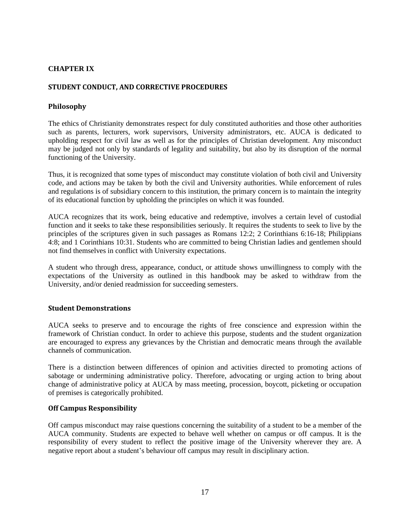# <span id="page-22-0"></span>**CHAPTER IX**

# <span id="page-22-1"></span>**STUDENT CONDUCT, AND CORRECTIVE PROCEDURES**

# <span id="page-22-2"></span>**Philosophy**

The ethics of Christianity demonstrates respect for duly constituted authorities and those other authorities such as parents, lecturers, work supervisors, University administrators, etc. AUCA is dedicated to upholding respect for civil law as well as for the principles of Christian development. Any misconduct may be judged not only by standards of legality and suitability, but also by its disruption of the normal functioning of the University.

Thus, it is recognized that some types of misconduct may constitute violation of both civil and University code, and actions may be taken by both the civil and University authorities. While enforcement of rules and regulations is of subsidiary concern to this institution, the primary concern is to maintain the integrity of its educational function by upholding the principles on which it was founded.

AUCA recognizes that its work, being educative and redemptive, involves a certain level of custodial function and it seeks to take these responsibilities seriously. It requires the students to seek to live by the principles of the scriptures given in such passages as Romans 12:2; 2 Corinthians 6:16-18; Philippians 4:8; and 1 Corinthians 10:31. Students who are committed to being Christian ladies and gentlemen should not find themselves in conflict with University expectations.

A student who through dress, appearance, conduct, or attitude shows unwillingness to comply with the expectations of the University as outlined in this handbook may be asked to withdraw from the University, and/or denied readmission for succeeding semesters.

#### <span id="page-22-3"></span>**Student Demonstrations**

AUCA seeks to preserve and to encourage the rights of free conscience and expression within the framework of Christian conduct. In order to achieve this purpose, students and the student organization are encouraged to express any grievances by the Christian and democratic means through the available channels of communication.

There is a distinction between differences of opinion and activities directed to promoting actions of sabotage or undermining administrative policy. Therefore, advocating or urging action to bring about change of administrative policy at AUCA by mass meeting, procession, boycott, picketing or occupation of premises is categorically prohibited.

# <span id="page-22-4"></span>**Off Campus Responsibility**

Off campus misconduct may raise questions concerning the suitability of a student to be a member of the AUCA community. Students are expected to behave well whether on campus or off campus. It is the responsibility of every student to reflect the positive image of the University wherever they are. A negative report about a student's behaviour off campus may result in disciplinary action.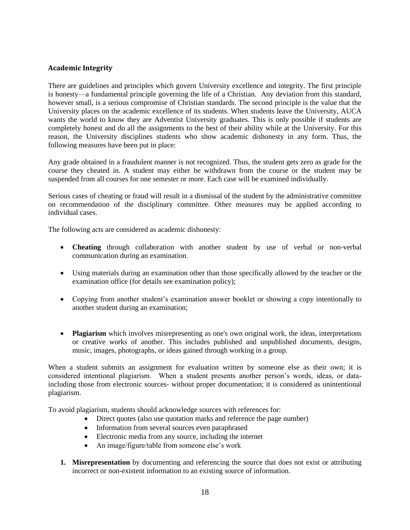# <span id="page-23-0"></span>**Academic Integrity**

There are guidelines and principles which govern University excellence and integrity. The first principle is honesty—a fundamental principle governing the life of a Christian. Any deviation from this standard, however small, is a serious compromise of Christian standards. The second principle is the value that the University places on the academic excellence of its students. When students leave the University, AUCA wants the world to know they are Adventist University graduates. This is only possible if students are completely honest and do all the assignments to the best of their ability while at the University. For this reason, the University disciplines students who show academic dishonesty in any form. Thus, the following measures have been put in place:

Any grade obtained in a fraudulent manner is not recognized. Thus, the student gets zero as grade for the course they cheated in. A student may either be withdrawn from the course or the student may be suspended from all courses for one semester or more. Each case will be examined individually.

Serious cases of cheating or fraud will result in a dismissal of the student by the administrative committee on recommendation of the disciplinary committee. Other measures may be applied according to individual cases.

The following acts are considered as academic dishonesty:

- **Cheating** through collaboration with another student by use of verbal or non-verbal communication during an examination.
- Using materials during an examination other than those specifically allowed by the teacher or the examination office (for details see examination policy);
- Copying from another student's examination answer booklet or showing a copy intentionally to another student during an examination;
- **Plagiarism** which involves misrepresenting as one's own original work, the ideas, interpretations or creative works of another. This includes published and unpublished documents, designs, music, images, photographs, or ideas gained through working in a group.

When a student submits an assignment for evaluation written by someone else as their own; it is considered intentional plagiarism. When a student presents another person's words, ideas, or dataincluding those from electronic sources- without proper documentation; it is considered as unintentional plagiarism.

To avoid plagiarism, students should acknowledge sources with references for:

- Direct quotes (also use quotation marks and reference the page number)
- Information from several sources even paraphrased
- Electronic media from any source, including the internet
- An image/figure/table from someone else's work
- **1. Misrepresentation** by documenting and referencing the source that does not exist or attributing incorrect or non-existent information to an existing source of information.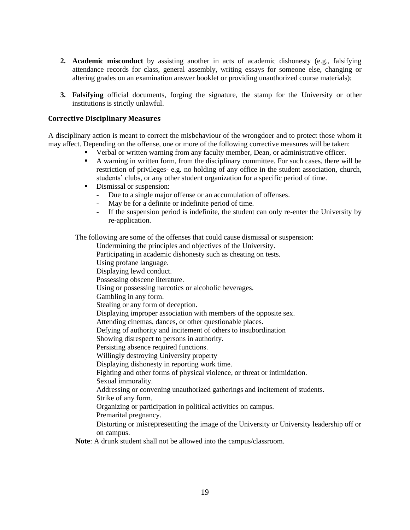- **2. Academic misconduct** by assisting another in acts of academic dishonesty (e.g., falsifying attendance records for class, general assembly, writing essays for someone else, changing or altering grades on an examination answer booklet or providing unauthorized course materials);
- **3. Falsifying** official documents, forging the signature, the stamp for the University or other institutions is strictly unlawful.

#### <span id="page-24-0"></span>**Corrective Disciplinary Measures**

A disciplinary action is meant to correct the misbehaviour of the wrongdoer and to protect those whom it may affect. Depending on the offense, one or more of the following corrective measures will be taken:

- Verbal or written warning from any faculty member, Dean, or administrative officer.
- A warning in written form, from the disciplinary committee. For such cases, there will be restriction of privileges- e.g. no holding of any office in the student association, church, students' clubs, or any other student organization for a specific period of time.
- **•** Dismissal or suspension:
	- Due to a single major offense or an accumulation of offenses.
	- May be for a definite or indefinite period of time.
	- If the suspension period is indefinite, the student can only re-enter the University by re-application.

The following are some of the offenses that could cause dismissal or suspension:

Undermining the principles and objectives of the University.

Participating in academic dishonesty such as cheating on tests.

- Using profane language.
- Displaying lewd conduct.
- Possessing obscene literature.
- Using or possessing narcotics or alcoholic beverages.

Gambling in any form.

Stealing or any form of deception.

Displaying improper association with members of the opposite sex.

Attending cinemas, dances, or other questionable places.

Defying of authority and incitement of others to insubordination

Showing disrespect to persons in authority.

Persisting absence required functions.

Willingly destroying University property

Displaying dishonesty in reporting work time.

Fighting and other forms of physical violence, or threat or intimidation.

Sexual immorality.

Addressing or convening unauthorized gatherings and incitement of students.

Strike of any form.

Organizing or participation in political activities on campus.

Premarital pregnancy.

Distorting or misrepresenting the image of the University or University leadership off or on campus.

**Note**: A drunk student shall not be allowed into the campus/classroom.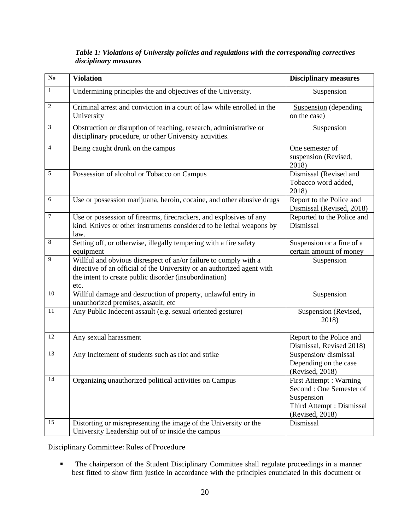| $\overline{No}$ | <b>Violation</b>                                                                                                                                                                                             | <b>Disciplinary measures</b>                                                                                     |
|-----------------|--------------------------------------------------------------------------------------------------------------------------------------------------------------------------------------------------------------|------------------------------------------------------------------------------------------------------------------|
| $\mathbf{1}$    | Undermining principles the and objectives of the University.                                                                                                                                                 | Suspension                                                                                                       |
| $\overline{2}$  | Criminal arrest and conviction in a court of law while enrolled in the<br>University                                                                                                                         | <b>Suspension</b> (depending<br>on the case)                                                                     |
| 3               | Obstruction or disruption of teaching, research, administrative or<br>disciplinary procedure, or other University activities.                                                                                | Suspension                                                                                                       |
| 4               | Being caught drunk on the campus                                                                                                                                                                             | One semester of<br>suspension (Revised,<br>2018)                                                                 |
| 5               | Possession of alcohol or Tobacco on Campus                                                                                                                                                                   | Dismissal (Revised and<br>Tobacco word added,<br>2018)                                                           |
| 6               | Use or possession marijuana, heroin, cocaine, and other abusive drugs                                                                                                                                        | Report to the Police and<br>Dismissal (Revised, 2018)                                                            |
| $\tau$          | Use or possession of firearms, firecrackers, and explosives of any<br>kind. Knives or other instruments considered to be lethal weapons by<br>law.                                                           | Reported to the Police and<br>Dismissal                                                                          |
| $\,8\,$         | Setting off, or otherwise, illegally tempering with a fire safety<br>equipment                                                                                                                               | Suspension or a fine of a<br>certain amount of money                                                             |
| 9               | Willful and obvious disrespect of an/or failure to comply with a<br>directive of an official of the University or an authorized agent with<br>the intent to create public disorder (insubordination)<br>etc. | Suspension                                                                                                       |
| 10              | Willful damage and destruction of property, unlawful entry in<br>unauthorized premises, assault, etc                                                                                                         | Suspension                                                                                                       |
| 11              | Any Public Indecent assault (e.g. sexual oriented gesture)                                                                                                                                                   | Suspension (Revised,<br>2018)                                                                                    |
| 12              | Any sexual harassment                                                                                                                                                                                        | Report to the Police and<br>Dismissal, Revised 2018)                                                             |
| 13              | Any Incitement of students such as riot and strike                                                                                                                                                           | Suspension/dismissal<br>Depending on the case<br>(Revised, 2018)                                                 |
| 14              | Organizing unauthorized political activities on Campus                                                                                                                                                       | First Attempt : Warning<br>Second: One Semester of<br>Suspension<br>Third Attempt : Dismissal<br>(Revised, 2018) |
| 15              | Distorting or misrepresenting the image of the University or the<br>University Leadership out of or inside the campus                                                                                        | Dismissal                                                                                                        |

# *Table 1: Violations of University policies and regulations with the corresponding correctives disciplinary measures*

<span id="page-25-0"></span>Disciplinary Committee: Rules of Procedure

**•** The chairperson of the Student Disciplinary Committee shall regulate proceedings in a manner best fitted to show firm justice in accordance with the principles enunciated in this document or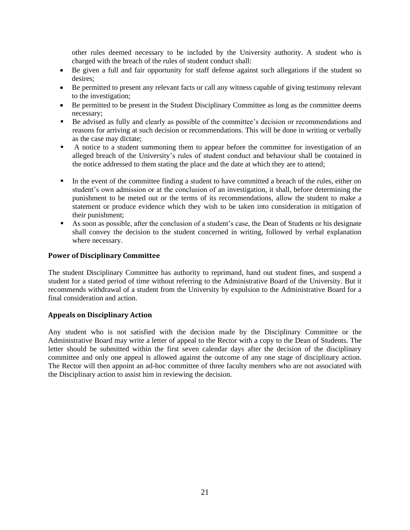other rules deemed necessary to be included by the University authority. A student who is charged with the breach of the rules of student conduct shall:

- Be given a full and fair opportunity for staff defense against such allegations if the student so desires;
- Be permitted to present any relevant facts or call any witness capable of giving testimony relevant to the investigation;
- Be permitted to be present in the Student Disciplinary Committee as long as the committee deems necessary;
- Be advised as fully and clearly as possible of the committee's decision or recommendations and reasons for arriving at such decision or recommendations. This will be done in writing or verbally as the case may dictate;
- A notice to a student summoning them to appear before the committee for investigation of an alleged breach of the University's rules of student conduct and behaviour shall be contained in the notice addressed to them stating the place and the date at which they are to attend;
- **•** In the event of the committee finding a student to have committed a breach of the rules, either on student's own admission or at the conclusion of an investigation, it shall, before determining the punishment to be meted out or the terms of its recommendations, allow the student to make a statement or produce evidence which they wish to be taken into consideration in mitigation of their punishment;
- As soon as possible, after the conclusion of a student's case, the Dean of Students or his designate shall convey the decision to the student concerned in writing, followed by verbal explanation where necessary.

#### <span id="page-26-0"></span>**Power of Disciplinary Committee**

The student Disciplinary Committee has authority to reprimand, hand out student fines, and suspend a student for a stated period of time without referring to the Administrative Board of the University. But it recommends withdrawal of a student from the University by expulsion to the Administrative Board for a final consideration and action.

#### <span id="page-26-1"></span>**Appeals on Disciplinary Action**

Any student who is not satisfied with the decision made by the Disciplinary Committee or the Administrative Board may write a letter of appeal to the Rector with a copy to the Dean of Students. The letter should be submitted within the first seven calendar days after the decision of the disciplinary committee and only one appeal is allowed against the outcome of any one stage of disciplinary action. The Rector will then appoint an ad-hoc committee of three faculty members who are not associated with the Disciplinary action to assist him in reviewing the decision.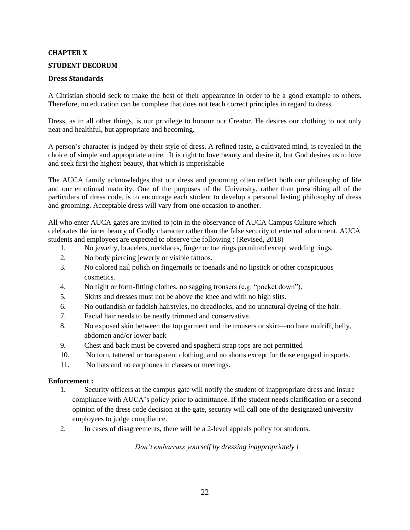#### <span id="page-27-0"></span>**CHAPTER X**

#### <span id="page-27-1"></span>**STUDENT DECORUM**

# <span id="page-27-2"></span>**Dress Standards**

A Christian should seek to make the best of their appearance in order to be a good example to others. Therefore, no education can be complete that does not teach correct principles in regard to dress.

Dress, as in all other things, is our privilege to honour our Creator. He desires our clothing to not only neat and healthful, but appropriate and becoming.

A person's character is judged by their style of dress. A refined taste, a cultivated mind, is revealed in the choice of simple and appropriate attire. It is right to love beauty and desire it, but God desires us to love and seek first the highest beauty, that which is imperishable

The AUCA family acknowledges that our dress and grooming often reflect both our philosophy of life and our emotional maturity. One of the purposes of the University, rather than prescribing all of the particulars of dress code, is to encourage each student to develop a personal lasting philosophy of dress and grooming. Acceptable dress will vary from one occasion to another.

All who enter AUCA gates are invited to join in the observance of AUCA Campus Culture which celebrates the inner beauty of Godly character rather than the false security of external adornment. AUCA students and employees are expected to observe the following : (Revised, 2018)

- 1. No jewelry, bracelets, necklaces, finger or toe rings permitted except wedding rings.
- 2. No body piercing jewerly or visible tattoos.
- 3. No colored nail polish on fingernails or toenails and no lipstick or other conspicuous cosmetics.
- 4. No tight or form-fitting clothes, no sagging trousers (e.g. "pocket down").
- 5. Skirts and dresses must not be above the knee and with no high slits.
- 6. No outlandish or faddish hairstyles, no dreadlocks, and no unnatural dyeing of the hair.
- 7. Facial hair needs to be neatly trimmed and conservative.
- 8. No exposed skin between the top garment and the trousers or skirt—no bare midriff, belly, abdomen and/or lower back
- 9. Chest and back must be covered and spaghetti strap tops are not permitted
- 10. No torn, tattered or transparent clothing, and no shorts except for those engaged in sports.
- 11. No hats and no earphones in classes or meetings.

#### **Enforcement :**

- 1. Security officers at the campus gate will notify the student of inappropriate dress and insure compliance with AUCA's policy prior to admittance. If the student needs clarification or a second opinion of the dress code decision at the gate, security will call one of the designated university employees to judge compliance.
- 2. In cases of disagreements, there will be a 2-level appeals policy for students.

*Don't embarrass yourself by dressing inappropriately !*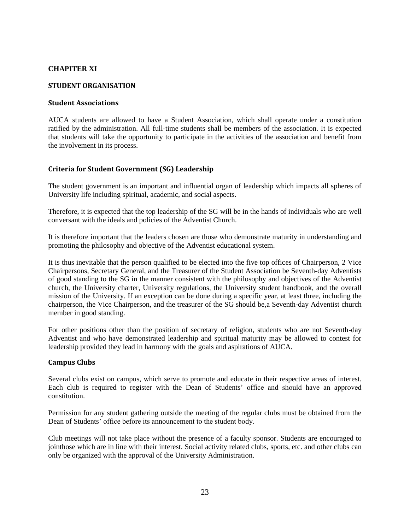# <span id="page-28-0"></span>**CHAPITER XI**

#### <span id="page-28-1"></span>**STUDENT ORGANISATION**

# <span id="page-28-2"></span>**Student Associations**

AUCA students are allowed to have a Student Association, which shall operate under a constitution ratified by the administration. All full-time students shall be members of the association. It is expected that students will take the opportunity to participate in the activities of the association and benefit from the involvement in its process.

# <span id="page-28-3"></span>**Criteria for Student Government (SG) Leadership**

The student government is an important and influential organ of leadership which impacts all spheres of University life including spiritual, academic, and social aspects.

Therefore, it is expected that the top leadership of the SG will be in the hands of individuals who are well conversant with the ideals and policies of the Adventist Church.

It is therefore important that the leaders chosen are those who demonstrate maturity in understanding and promoting the philosophy and objective of the Adventist educational system.

It is thus inevitable that the person qualified to be elected into the five top offices of Chairperson, 2 Vice Chairpersons, Secretary General, and the Treasurer of the Student Association be Seventh-day Adventists of good standing to the SG in the manner consistent with the philosophy and objectives of the Adventist church, the University charter, University regulations, the University student handbook, and the overall mission of the University. If an exception can be done during a specific year, at least three, including the chairperson, the Vice Chairperson, and the treasurer of the SG should be,a Seventh-day Adventist church member in good standing.

For other positions other than the position of secretary of religion, students who are not Seventh-day Adventist and who have demonstrated leadership and spiritual maturity may be allowed to contest for leadership provided they lead in harmony with the goals and aspirations of AUCA.

#### <span id="page-28-4"></span>**Campus Clubs**

Several clubs exist on campus, which serve to promote and educate in their respective areas of interest. Each club is required to register with the Dean of Students' office and should have an approved constitution.

Permission for any student gathering outside the meeting of the regular clubs must be obtained from the Dean of Students' office before its announcement to the student body.

Club meetings will not take place without the presence of a faculty sponsor. Students are encouraged to jointhose which are in line with their interest. Social activity related clubs, sports, etc. and other clubs can only be organized with the approval of the University Administration.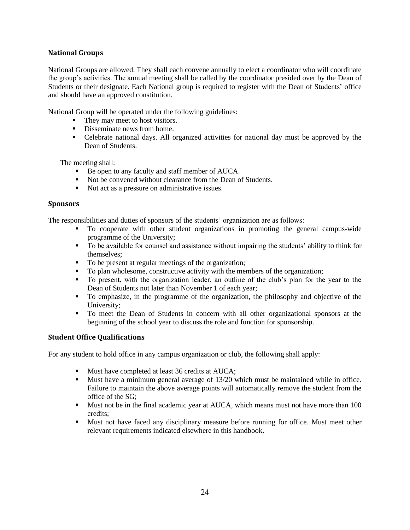# <span id="page-29-0"></span>**National Groups**

National Groups are allowed. They shall each convene annually to elect a coordinator who will coordinate the group's activities. The annual meeting shall be called by the coordinator presided over by the Dean of Students or their designate. Each National group is required to register with the Dean of Students' office and should have an approved constitution.

National Group will be operated under the following guidelines:

- They may meet to host visitors.
- Disseminate news from home.
- Celebrate national days. All organized activities for national day must be approved by the Dean of Students.

The meeting shall:

- Be open to any faculty and staff member of AUCA.
- Not be convened without clearance from the Dean of Students.
- Not act as a pressure on administrative issues.

#### <span id="page-29-1"></span>**Sponsors**

The responsibilities and duties of sponsors of the students' organization are as follows:

- To cooperate with other student organizations in promoting the general campus-wide programme of the University;
- To be available for counsel and assistance without impairing the students' ability to think for themselves;
- To be present at regular meetings of the organization;
- To plan wholesome, constructive activity with the members of the organization;
- To present, with the organization leader, an outline of the club's plan for the year to the Dean of Students not later than November 1 of each year;
- To emphasize, in the programme of the organization, the philosophy and objective of the University;
- To meet the Dean of Students in concern with all other organizational sponsors at the beginning of the school year to discuss the role and function for sponsorship.

# <span id="page-29-2"></span>**Student Office Qualifications**

For any student to hold office in any campus organization or club, the following shall apply:

- Must have completed at least 36 credits at AUCA;
- Must have a minimum general average of 13/20 which must be maintained while in office. Failure to maintain the above average points will automatically remove the student from the office of the SG;
- Must not be in the final academic year at AUCA, which means must not have more than 100 credits;
- Must not have faced any disciplinary measure before running for office. Must meet other relevant requirements indicated elsewhere in this handbook.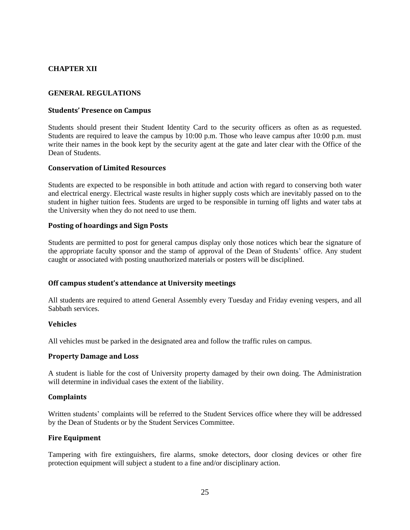# <span id="page-30-1"></span><span id="page-30-0"></span>**CHAPTER XII**

#### **GENERAL REGULATIONS**

#### <span id="page-30-2"></span>**Students' Presence on Campus**

Students should present their Student Identity Card to the security officers as often as as requested. Students are required to leave the campus by 10:00 p.m. Those who leave campus after 10:00 p.m. must write their names in the book kept by the security agent at the gate and later clear with the Office of the Dean of Students.

#### <span id="page-30-3"></span>**Conservation of Limited Resources**

Students are expected to be responsible in both attitude and action with regard to conserving both water and electrical energy. Electrical waste results in higher supply costs which are inevitably passed on to the student in higher tuition fees. Students are urged to be responsible in turning off lights and water tabs at the University when they do not need to use them.

#### <span id="page-30-4"></span>**Posting of hoardings and Sign Posts**

Students are permitted to post for general campus display only those notices which bear the signature of the appropriate faculty sponsor and the stamp of approval of the Dean of Students' office. Any student caught or associated with posting unauthorized materials or posters will be disciplined.

#### <span id="page-30-5"></span>**Off campus student's attendance at University meetings**

All students are required to attend General Assembly every Tuesday and Friday evening vespers, and all Sabbath services.

# <span id="page-30-6"></span>**Vehicles**

All vehicles must be parked in the designated area and follow the traffic rules on campus.

#### <span id="page-30-7"></span>**Property Damage and Loss**

A student is liable for the cost of University property damaged by their own doing. The Administration will determine in individual cases the extent of the liability.

# <span id="page-30-8"></span>**Complaints**

Written students' complaints will be referred to the Student Services office where they will be addressed by the Dean of Students or by the Student Services Committee.

#### <span id="page-30-9"></span>**Fire Equipment**

Tampering with fire extinguishers, fire alarms, smoke detectors, door closing devices or other fire protection equipment will subject a student to a fine and/or disciplinary action.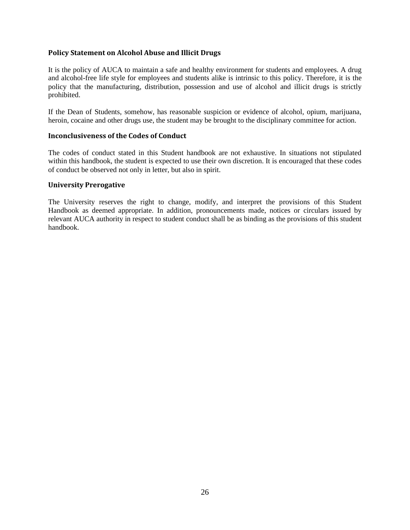# <span id="page-31-0"></span>**Policy Statement on Alcohol Abuse and Illicit Drugs**

It is the policy of AUCA to maintain a safe and healthy environment for students and employees. A drug and alcohol-free life style for employees and students alike is intrinsic to this policy. Therefore, it is the policy that the manufacturing, distribution, possession and use of alcohol and illicit drugs is strictly prohibited.

If the Dean of Students, somehow, has reasonable suspicion or evidence of alcohol, opium, marijuana, heroin, cocaine and other drugs use, the student may be brought to the disciplinary committee for action.

#### <span id="page-31-1"></span>**Inconclusiveness of the Codes of Conduct**

The codes of conduct stated in this Student handbook are not exhaustive. In situations not stipulated within this handbook, the student is expected to use their own discretion. It is encouraged that these codes of conduct be observed not only in letter, but also in spirit.

#### <span id="page-31-2"></span>**University Prerogative**

The University reserves the right to change, modify, and interpret the provisions of this Student Handbook as deemed appropriate. In addition, pronouncements made, notices or circulars issued by relevant AUCA authority in respect to student conduct shall be as binding as the provisions of this student handbook.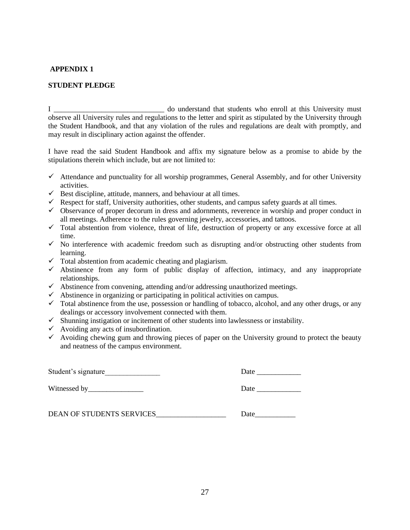# <span id="page-32-0"></span>**APPENDIX 1**

# **STUDENT PLEDGE**

I \_\_\_\_\_\_\_\_\_\_\_\_\_\_\_\_\_\_\_\_\_\_\_\_\_\_\_\_\_\_ do understand that students who enroll at this University must observe all University rules and regulations to the letter and spirit as stipulated by the University through the Student Handbook, and that any violation of the rules and regulations are dealt with promptly, and may result in disciplinary action against the offender.

I have read the said Student Handbook and affix my signature below as a promise to abide by the stipulations therein which include, but are not limited to:

- $\checkmark$  Attendance and punctuality for all worship programmes, General Assembly, and for other University activities.
- $\checkmark$  Best discipline, attitude, manners, and behaviour at all times.
- $\checkmark$  Respect for staff, University authorities, other students, and campus safety guards at all times.
- $\checkmark$  Observance of proper decorum in dress and adornments, reverence in worship and proper conduct in all meetings. Adherence to the rules governing jewelry, accessories, and tattoos.
- $\checkmark$  Total abstention from violence, threat of life, destruction of property or any excessive force at all time.
- $\checkmark$  No interference with academic freedom such as disrupting and/or obstructing other students from learning.
- $\checkmark$  Total abstention from academic cheating and plagiarism.
- $\checkmark$  Abstinence from any form of public display of affection, intimacy, and any inappropriate relationships.
- $\checkmark$  Abstinence from convening, attending and/or addressing unauthorized meetings.
- $\checkmark$  Abstinence in organizing or participating in political activities on campus.
- $\checkmark$  Total abstinence from the use, possession or handling of tobacco, alcohol, and any other drugs, or any dealings or accessory involvement connected with them.
- $\checkmark$  Shunning instigation or incitement of other students into lawlessness or instability.
- $\checkmark$  Avoiding any acts of insubordination.
- $\checkmark$  Avoiding chewing gum and throwing pieces of paper on the University ground to protect the beauty and neatness of the campus environment.

<span id="page-32-1"></span>

| Student's signature       | Date |
|---------------------------|------|
|                           | Date |
| DEAN OF STUDENTS SERVICES | Date |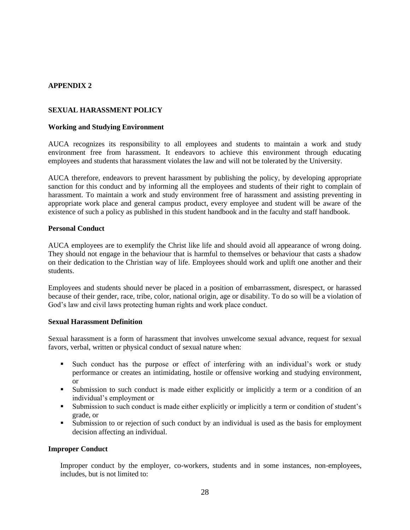# <span id="page-33-1"></span><span id="page-33-0"></span>**APPENDIX 2**

#### **SEXUAL HARASSMENT POLICY**

#### **Working and Studying Environment**

AUCA recognizes its responsibility to all employees and students to maintain a work and study environment free from harassment. It endeavors to achieve this environment through educating employees and students that harassment violates the law and will not be tolerated by the University.

AUCA therefore, endeavors to prevent harassment by publishing the policy, by developing appropriate sanction for this conduct and by informing all the employees and students of their right to complain of harassment. To maintain a work and study environment free of harassment and assisting preventing in appropriate work place and general campus product, every employee and student will be aware of the existence of such a policy as published in this student handbook and in the faculty and staff handbook.

#### **Personal Conduct**

AUCA employees are to exemplify the Christ like life and should avoid all appearance of wrong doing. They should not engage in the behaviour that is harmful to themselves or behaviour that casts a shadow on their dedication to the Christian way of life. Employees should work and uplift one another and their students.

Employees and students should never be placed in a position of embarrassment, disrespect, or harassed because of their gender, race, tribe, color, national origin, age or disability. To do so will be a violation of God's law and civil laws protecting human rights and work place conduct.

#### **Sexual Harassment Definition**

Sexual harassment is a form of harassment that involves unwelcome sexual advance, request for sexual favors, verbal, written or physical conduct of sexual nature when:

- Such conduct has the purpose or effect of interfering with an individual's work or study performance or creates an intimidating, hostile or offensive working and studying environment, or
- Submission to such conduct is made either explicitly or implicitly a term or a condition of an individual's employment or
- Submission to such conduct is made either explicitly or implicitly a term or condition of student's grade, or
- Submission to or rejection of such conduct by an individual is used as the basis for employment decision affecting an individual.

#### **Improper Conduct**

Improper conduct by the employer, co-workers, students and in some instances, non-employees, includes, but is not limited to: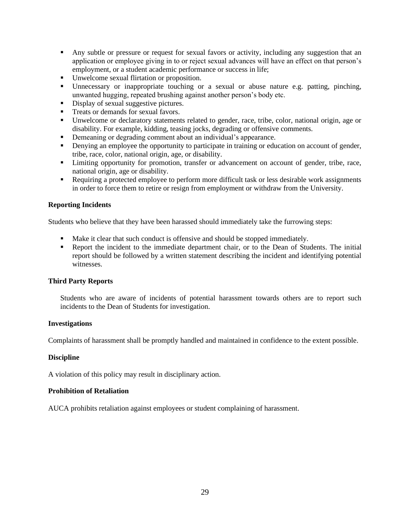- Any subtle or pressure or request for sexual favors or activity, including any suggestion that an application or employee giving in to or reject sexual advances will have an effect on that person's employment, or a student academic performance or success in life;
- Unwelcome sexual flirtation or proposition.
- Unnecessary or inappropriate touching or a sexual or abuse nature e.g. patting, pinching, unwanted hugging, repeated brushing against another person's body etc.
- **•** Display of sexual suggestive pictures.
- **•** Treats or demands for sexual favors.
- Unwelcome or declaratory statements related to gender, race, tribe, color, national origin, age or disability. For example, kidding, teasing jocks, degrading or offensive comments.
- Demeaning or degrading comment about an individual's appearance.
- **Denying an employee the opportunity to participate in training or education on account of gender,** tribe, race, color, national origin, age, or disability.
- **Example 1** Limiting opportunity for promotion, transfer or advancement on account of gender, tribe, race, national origin, age or disability.
- Requiring a protected employee to perform more difficult task or less desirable work assignments in order to force them to retire or resign from employment or withdraw from the University.

#### **Reporting Incidents**

Students who believe that they have been harassed should immediately take the furrowing steps:

- Make it clear that such conduct is offensive and should be stopped immediately.
- **•** Report the incident to the immediate department chair, or to the Dean of Students. The initial report should be followed by a written statement describing the incident and identifying potential witnesses.

#### **Third Party Reports**

Students who are aware of incidents of potential harassment towards others are to report such incidents to the Dean of Students for investigation.

#### **Investigations**

Complaints of harassment shall be promptly handled and maintained in confidence to the extent possible.

#### **Discipline**

A violation of this policy may result in disciplinary action.

#### **Prohibition of Retaliation**

AUCA prohibits retaliation against employees or student complaining of harassment.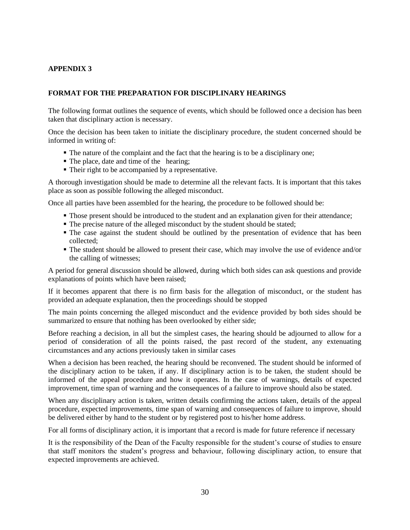# <span id="page-35-1"></span><span id="page-35-0"></span>**APPENDIX 3**

#### **FORMAT FOR THE PREPARATION FOR DISCIPLINARY HEARINGS**

The following format outlines the sequence of events, which should be followed once a decision has been taken that disciplinary action is necessary.

Once the decision has been taken to initiate the disciplinary procedure, the student concerned should be informed in writing of:

- The nature of the complaint and the fact that the hearing is to be a disciplinary one;
- The place, date and time of the hearing;
- Their right to be accompanied by a representative.

A thorough investigation should be made to determine all the relevant facts. It is important that this takes place as soon as possible following the alleged misconduct.

Once all parties have been assembled for the hearing, the procedure to be followed should be:

- Those present should be introduced to the student and an explanation given for their attendance;
- The precise nature of the alleged misconduct by the student should be stated;
- The case against the student should be outlined by the presentation of evidence that has been collected;
- The student should be allowed to present their case, which may involve the use of evidence and/or the calling of witnesses;

A period for general discussion should be allowed, during which both sides can ask questions and provide explanations of points which have been raised;

If it becomes apparent that there is no firm basis for the allegation of misconduct, or the student has provided an adequate explanation, then the proceedings should be stopped

The main points concerning the alleged misconduct and the evidence provided by both sides should be summarized to ensure that nothing has been overlooked by either side;

Before reaching a decision, in all but the simplest cases, the hearing should be adjourned to allow for a period of consideration of all the points raised, the past record of the student, any extenuating circumstances and any actions previously taken in similar cases

When a decision has been reached, the hearing should be reconvened. The student should be informed of the disciplinary action to be taken, if any. If disciplinary action is to be taken, the student should be informed of the appeal procedure and how it operates. In the case of warnings, details of expected improvement, time span of warning and the consequences of a failure to improve should also be stated.

When any disciplinary action is taken, written details confirming the actions taken, details of the appeal procedure, expected improvements, time span of warning and consequences of failure to improve, should be delivered either by hand to the student or by registered post to his/her home address.

For all forms of disciplinary action, it is important that a record is made for future reference if necessary

It is the responsibility of the Dean of the Faculty responsible for the student's course of studies to ensure that staff monitors the student's progress and behaviour, following disciplinary action, to ensure that expected improvements are achieved.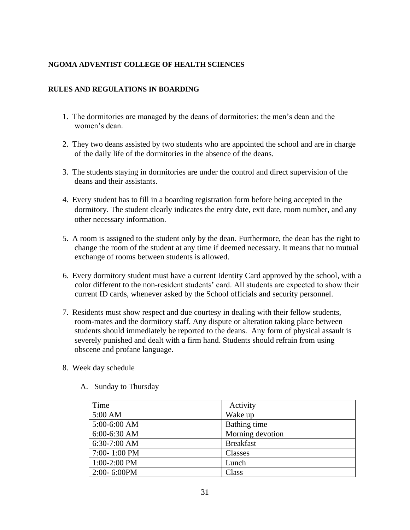# <span id="page-36-1"></span><span id="page-36-0"></span>**NGOMA ADVENTIST COLLEGE OF HEALTH SCIENCES**

# **RULES AND REGULATIONS IN BOARDING**

- 1. The dormitories are managed by the deans of dormitories: the men's dean and the women's dean.
- 2. They two deans assisted by two students who are appointed the school and are in charge of the daily life of the dormitories in the absence of the deans.
- 3. The students staying in dormitories are under the control and direct supervision of the deans and their assistants.
- 4. Every student has to fill in a boarding registration form before being accepted in the dormitory. The student clearly indicates the entry date, exit date, room number, and any other necessary information.
- 5. A room is assigned to the student only by the dean. Furthermore, the dean has the right to change the room of the student at any time if deemed necessary. It means that no mutual exchange of rooms between students is allowed.
- 6. Every dormitory student must have a current Identity Card approved by the school, with a color different to the non-resident students' card. All students are expected to show their current ID cards, whenever asked by the School officials and security personnel.
- 7. Residents must show respect and due courtesy in dealing with their fellow students, room-mates and the dormitory staff. Any dispute or alteration taking place between students should immediately be reported to the deans. Any form of physical assault is severely punished and dealt with a firm hand. Students should refrain from using obscene and profane language.
- 8. Week day schedule

| Time             | Activity         |
|------------------|------------------|
| 5:00 AM          | Wake up          |
| 5:00-6:00 AM     | Bathing time     |
| 6:00-6:30 AM     | Morning devotion |
| 6:30-7:00 AM     | <b>Breakfast</b> |
| 7:00-1:00 PM     | Classes          |
| 1:00-2:00 PM     | Lunch            |
| $2:00 - 6:00$ PM | Class            |

A. Sunday to Thursday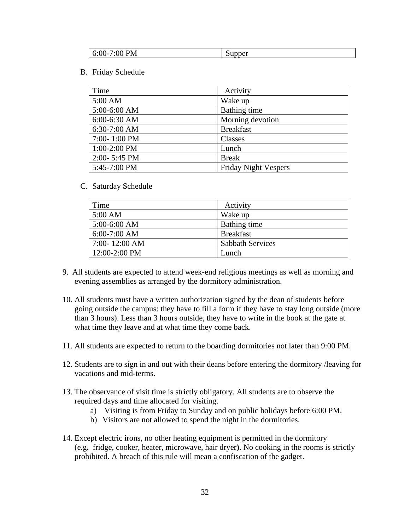| <b>PM</b><br>:00<br>$6:00-$ | -<br>Supper |
|-----------------------------|-------------|
|-----------------------------|-------------|

B. Friday Schedule

| Time             | Activity                    |
|------------------|-----------------------------|
| 5:00 AM          | Wake up                     |
| 5:00-6:00 AM     | Bathing time                |
| $6:00-6:30$ AM   | Morning devotion            |
| $6:30-7:00$ AM   | <b>Breakfast</b>            |
| $7:00 - 1:00$ PM | Classes                     |
| $1:00-2:00$ PM   | Lunch                       |
| $2:00 - 5:45$ PM | <b>Break</b>                |
| 5:45-7:00 PM     | <b>Friday Night Vespers</b> |

C. Saturday Schedule

| Time              | Activity                |
|-------------------|-------------------------|
| 5:00 AM           | Wake up                 |
| $5:00-6:00$ AM    | Bathing time            |
| $6:00-7:00$ AM    | <b>Breakfast</b>        |
| $7:00 - 12:00$ AM | <b>Sabbath Services</b> |
| 12:00-2:00 PM     | Lunch                   |

- 9. All students are expected to attend week-end religious meetings as well as morning and evening assemblies as arranged by the dormitory administration.
- 10. All students must have a written authorization signed by the dean of students before going outside the campus: they have to fill a form if they have to stay long outside (more than 3 hours). Less than 3 hours outside, they have to write in the book at the gate at what time they leave and at what time they come back.
- 11. All students are expected to return to the boarding dormitories not later than 9:00 PM.
- 12. Students are to sign in and out with their deans before entering the dormitory /leaving for vacations and mid-terms.
- 13. The observance of visit time is strictly obligatory. All students are to observe the required days and time allocated for visiting.
	- a) Visiting is from Friday to Sunday and on public holidays before 6:00 PM.
	- b) Visitors are not allowed to spend the night in the dormitories.
- 14. Except electric irons, no other heating equipment is permitted in the dormitory (e.g**.** fridge, cooker, heater, microwave, hair dryer**)**. No cooking in the rooms is strictly prohibited. A breach of this rule will mean a confiscation of the gadget.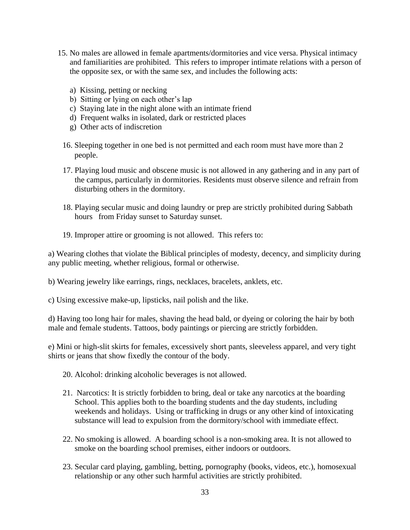- 15. No males are allowed in female apartments/dormitories and vice versa. Physical intimacy and familiarities are prohibited. This refers to improper intimate relations with a person of the opposite sex, or with the same sex, and includes the following acts:
	- a) Kissing, petting or necking
	- b) Sitting or lying on each other's lap
	- c) Staying late in the night alone with an intimate friend
	- d) Frequent walks in isolated, dark or restricted places
	- g) Other acts of indiscretion
	- 16. Sleeping together in one bed is not permitted and each room must have more than 2 people.
	- 17. Playing loud music and obscene music is not allowed in any gathering and in any part of the campus, particularly in dormitories. Residents must observe silence and refrain from disturbing others in the dormitory.
	- 18. Playing secular music and doing laundry or prep are strictly prohibited during Sabbath hours from Friday sunset to Saturday sunset.
	- 19. Improper attire or grooming is not allowed. This refers to:

a) Wearing clothes that violate the Biblical principles of modesty, decency, and simplicity during any public meeting, whether religious, formal or otherwise.

b) Wearing jewelry like earrings, rings, necklaces, bracelets, anklets, etc.

c) Using excessive make-up, lipsticks, nail polish and the like.

d) Having too long hair for males, shaving the head bald, or dyeing or coloring the hair by both male and female students. Tattoos, body paintings or piercing are strictly forbidden.

e) Mini or high-slit skirts for females, excessively short pants, sleeveless apparel, and very tight shirts or jeans that show fixedly the contour of the body.

- 20. Alcohol: drinking alcoholic beverages is not allowed.
- 21. Narcotics: It is strictly forbidden to bring, deal or take any narcotics at the boarding School. This applies both to the boarding students and the day students, including weekends and holidays. Using or trafficking in drugs or any other kind of intoxicating substance will lead to expulsion from the dormitory/school with immediate effect.
- 22. No smoking is allowed. A boarding school is a non-smoking area. It is not allowed to smoke on the boarding school premises, either indoors or outdoors.
- 23. Secular card playing, gambling, betting, pornography (books, videos, etc.), homosexual relationship or any other such harmful activities are strictly prohibited.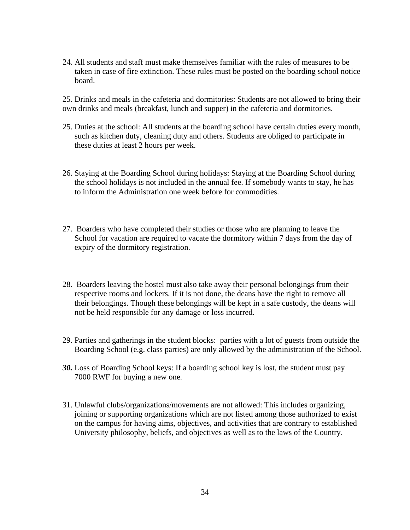24. All students and staff must make themselves familiar with the rules of measures to be taken in case of fire extinction. These rules must be posted on the boarding school notice board.

25. Drinks and meals in the cafeteria and dormitories: Students are not allowed to bring their own drinks and meals (breakfast, lunch and supper) in the cafeteria and dormitories.

- 25. Duties at the school: All students at the boarding school have certain duties every month, such as kitchen duty, cleaning duty and others. Students are obliged to participate in these duties at least 2 hours per week.
- 26. Staying at the Boarding School during holidays: Staying at the Boarding School during the school holidays is not included in the annual fee. If somebody wants to stay, he has to inform the Administration one week before for commodities.
- 27. Boarders who have completed their studies or those who are planning to leave the School for vacation are required to vacate the dormitory within 7 days from the day of expiry of the dormitory registration.
- 28. Boarders leaving the hostel must also take away their personal belongings from their respective rooms and lockers. If it is not done, the deans have the right to remove all their belongings. Though these belongings will be kept in a safe custody, the deans will not be held responsible for any damage or loss incurred.
- 29. Parties and gatherings in the student blocks: parties with a lot of guests from outside the Boarding School (e.g. class parties) are only allowed by the administration of the School.
- *30.* Loss of Boarding School keys: If a boarding school key is lost, the student must pay 7000 RWF for buying a new one*.*
- 31. Unlawful clubs/organizations/movements are not allowed: This includes organizing, joining or supporting organizations which are not listed among those authorized to exist on the campus for having aims, objectives, and activities that are contrary to established University philosophy, beliefs, and objectives as well as to the laws of the Country.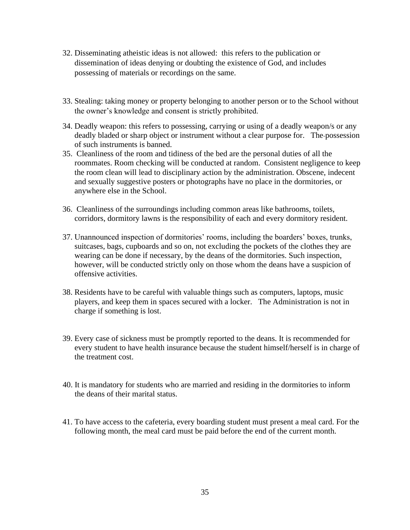- 32. Disseminating atheistic ideas is not allowed: this refers to the publication or dissemination of ideas denying or doubting the existence of God, and includes possessing of materials or recordings on the same.
- 33. Stealing: taking money or property belonging to another person or to the School without the owner's knowledge and consent is strictly prohibited.
- 34. Deadly weapon: this refers to possessing, carrying or using of a deadly weapon/s or any deadly bladed or sharp object or instrument without a clear purpose for. The possession of such instruments is banned.
- 35. Cleanliness of the room and tidiness of the bed are the personal duties of all the roommates. Room checking will be conducted at random. Consistent negligence to keep the room clean will lead to disciplinary action by the administration. Obscene, indecent and sexually suggestive posters or photographs have no place in the dormitories, or anywhere else in the School.
- 36. Cleanliness of the surroundings including common areas like bathrooms, toilets, corridors, dormitory lawns is the responsibility of each and every dormitory resident.
- 37. Unannounced inspection of dormitories' rooms, including the boarders' boxes, trunks, suitcases, bags, cupboards and so on, not excluding the pockets of the clothes they are wearing can be done if necessary, by the deans of the dormitories. Such inspection, however, will be conducted strictly only on those whom the deans have a suspicion of offensive activities.
- 38. Residents have to be careful with valuable things such as computers, laptops, music players, and keep them in spaces secured with a locker. The Administration is not in charge if something is lost.
- 39. Every case of sickness must be promptly reported to the deans. It is recommended for every student to have health insurance because the student himself/herself is in charge of the treatment cost.
- 40. It is mandatory for students who are married and residing in the dormitories to inform the deans of their marital status.
- 41. To have access to the cafeteria, every boarding student must present a meal card. For the following month, the meal card must be paid before the end of the current month.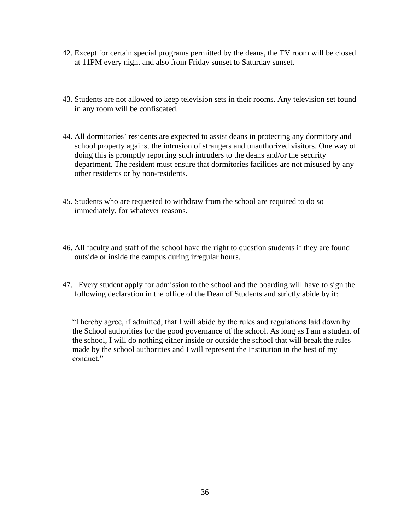- 42. Except for certain special programs permitted by the deans, the TV room will be closed at 11PM every night and also from Friday sunset to Saturday sunset.
- 43. Students are not allowed to keep television sets in their rooms. Any television set found in any room will be confiscated.
- 44. All dormitories' residents are expected to assist deans in protecting any dormitory and school property against the intrusion of strangers and unauthorized visitors. One way of doing this is promptly reporting such intruders to the deans and/or the security department. The resident must ensure that dormitories facilities are not misused by any other residents or by non-residents.
- 45. Students who are requested to withdraw from the school are required to do so immediately, for whatever reasons.
- 46. All faculty and staff of the school have the right to question students if they are found outside or inside the campus during irregular hours.
- 47. Every student apply for admission to the school and the boarding will have to sign the following declaration in the office of the Dean of Students and strictly abide by it:

"I hereby agree, if admitted, that I will abide by the rules and regulations laid down by the School authorities for the good governance of the school. As long as I am a student of the school, I will do nothing either inside or outside the school that will break the rules made by the school authorities and I will represent the Institution in the best of my conduct."